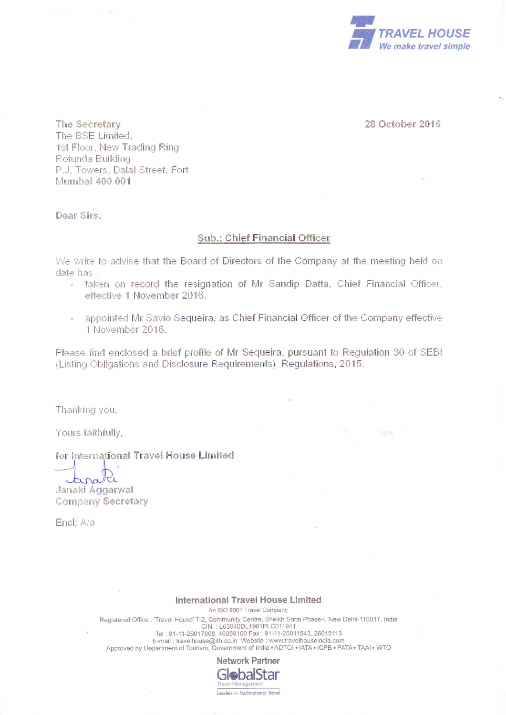

28 October 2016

 $5.64 - 46$ 

The Secretary The BSE Limited. 1st Floor, New Trading Ring Rotunda Building P.J. Towers, Dalal Street, Fort Mumbai 400 001

Dear Sirs.

## **Sub.: Chief Financial Officer**

We write to advise that the Board of Directors of the Company at the meeting held on date has -

- taken on record the resignation of Mr Sandip Datta, Chief Financial Officer, effective 1 November 2016.
- appointed Mr Savio Sequeira, as Chief Financial Officer of the Company effective 1 November 2016.

Please find enclosed a brief profile of Mr Sequeira, pursuant to Regulation 30 of SEBI (Listing Obligations and Disclosure Requirements) Regulations, 2015.

Thanking you,

Yours faithfully,

## for International Travel House Limited

carath Janaki Aggarwal **Company Secretary** 

Encl: A/a

## **International Travel House Limited**

An ISO 9001 Travel Company Registered Office : 'Travel House' T-2, Community Centre, Sheikh Sarai Phase-I, New Delhi-110017, India<br>CIN. : L63040DL1981PLC011941<br>Tel : 91-11-26017808, 46059100 Fax : 91-11-26011543, 26015113<br>E-mail : travelhouse@ith.co